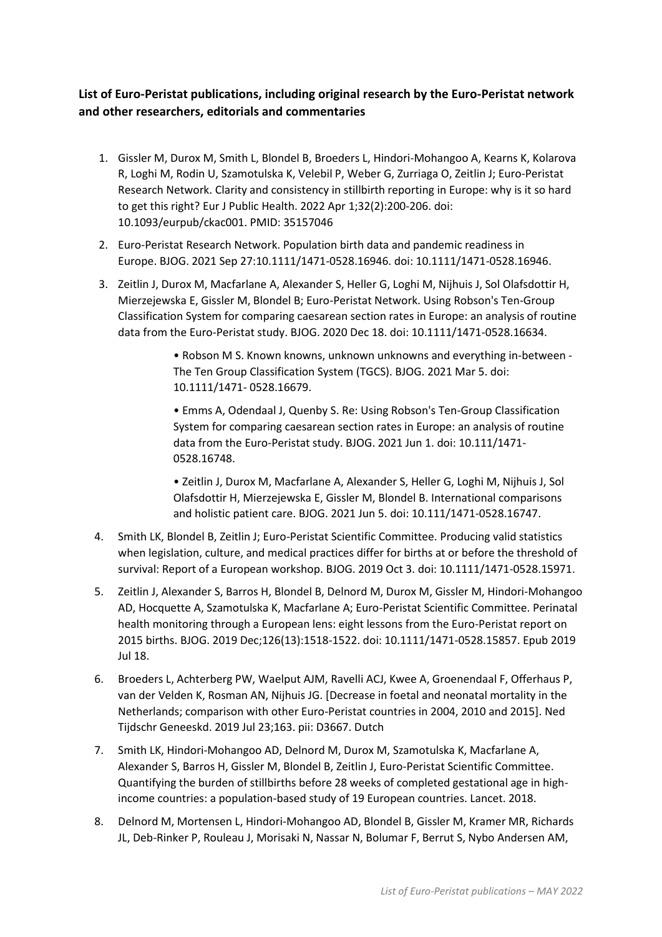## **List of Euro-Peristat publications, including original research by the Euro-Peristat network and other researchers, editorials and commentaries**

- 1. Gissler M, Durox M, Smith L, Blondel B, Broeders L, Hindori-Mohangoo A, Kearns K, Kolarova R, Loghi M, Rodin U, Szamotulska K, Velebil P, Weber G, Zurriaga O, Zeitlin J; Euro-Peristat Research Network. [Clarity and consistency in stillbirth reporting in Europe: why is it so hard](https://pubmed.ncbi.nlm.nih.gov/35157046/)  [to get this right?](https://pubmed.ncbi.nlm.nih.gov/35157046/) Eur J Public Health. 2022 Apr 1;32(2):200-206. doi: 10.1093/eurpub/ckac001. PMID: 35157046
- 2. Euro-Peristat Research Network. [Population birth data and pandemic readiness in](https://pubmed.ncbi.nlm.nih.gov/34569700/)  [Europe.](https://pubmed.ncbi.nlm.nih.gov/34569700/) BJOG. 2021 Sep 27:10.1111/1471-0528.16946. doi: 10.1111/1471-0528.16946.
- 3. Zeitlin J, Durox M, Macfarlane A, Alexander S, Heller G, Loghi M, Nijhuis J, Sol Olafsdottir H, Mierzejewska E, Gissler M, Blondel B; Euro-Peristat Network. Using Robson's Ten-Group Classification System for comparing caesarean section rates in Europe: an analysis of routine data from the Euro-Peristat study. BJOG. 2020 Dec 18. doi: 10.1111/1471-0528.16634.

• Robson M S. Known knowns, unknown unknowns and everything in-between - The Ten Group Classification System (TGCS). BJOG. 2021 Mar 5. doi: 10.1111/1471- 0528.16679.

• Emms A, Odendaal J, Quenby S. Re: Using Robson's Ten-Group Classification System for comparing caesarean section rates in Europe: an analysis of routine data from the Euro-Peristat study. BJOG. 2021 Jun 1. doi: 10.111/1471- 0528.16748.

• Zeitlin J, Durox M, Macfarlane A, Alexander S, Heller G, Loghi M, Nijhuis J, Sol Olafsdottir H, Mierzejewska E, Gissler M, Blondel B. International comparisons and holistic patient care. BJOG. 2021 Jun 5. doi: 10.111/1471-0528.16747.

- 4. Smith LK, Blondel B, Zeitlin J; Euro-Peristat Scientific Committee. [Producing valid statistics](https://www.ncbi.nlm.nih.gov/pubmed/31580509)  [when legislation, culture, and medical practices differ for births at or before the threshold of](https://www.ncbi.nlm.nih.gov/pubmed/31580509)  [survival: Report of a European workshop.](https://www.ncbi.nlm.nih.gov/pubmed/31580509) BJOG. 2019 Oct 3. doi: 10.1111/1471-0528.15971.
- 5. Zeitlin J, Alexander S, Barros H, Blondel B, Delnord M, Durox M, Gissler M, Hindori-Mohangoo AD, Hocquette A, Szamotulska K, Macfarlane A; Euro-Peristat Scientific Committee. [Perinatal](https://www.ncbi.nlm.nih.gov/pubmed/31260601)  [health monitoring through a European lens: eight lessons from the Euro-Peristat report on](https://www.ncbi.nlm.nih.gov/pubmed/31260601)  [2015 births.](https://www.ncbi.nlm.nih.gov/pubmed/31260601) BJOG. 2019 Dec;126(13):1518-1522. doi: 10.1111/1471-0528.15857. Epub 2019 Jul 18.
- 6. Broeders L, Achterberg PW, Waelput AJM, Ravelli ACJ, Kwee A, Groenendaal F, Offerhaus P, van der Velden K, Rosman AN, Nijhuis JG. [\[Decrease in foetal and neonatal mortality in the](https://www.ncbi.nlm.nih.gov/pubmed/31361412)  [Netherlands; comparison with other Euro-Peristat countries in 2004, 2010 and 2015\].](https://www.ncbi.nlm.nih.gov/pubmed/31361412) Ned Tijdschr Geneeskd. 2019 Jul 23;163. pii: D3667. Dutch
- 7. Smith LK, Hindori-Mohangoo AD, Delnord M, Durox M, Szamotulska K, Macfarlane A, Alexander S, Barros H, Gissler M, Blondel B, Zeitlin J, Euro-Peristat Scientific Committee. Quantifying the burden of stillbirths before 28 weeks of completed gestational age in highincome countries: a population-based study of 19 European countries. Lancet. 2018.
- 8. Delnord M, Mortensen L, Hindori-Mohangoo AD, Blondel B, Gissler M, Kramer MR, Richards JL, Deb-Rinker P, Rouleau J, Morisaki N, Nassar N, Bolumar F, Berrut S, Nybo Andersen AM,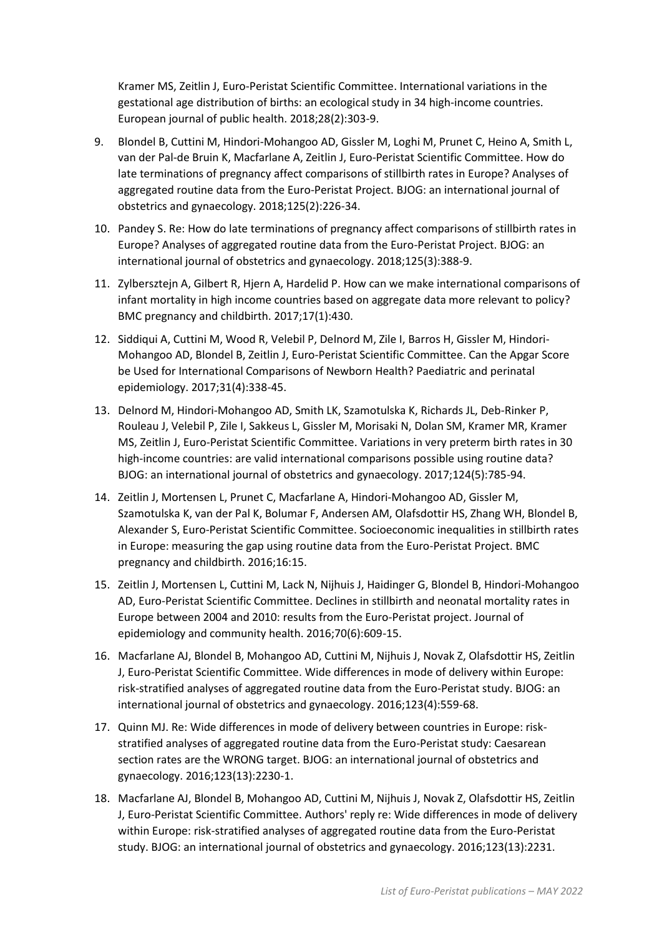Kramer MS, Zeitlin J, Euro-Peristat Scientific Committee. International variations in the gestational age distribution of births: an ecological study in 34 high-income countries. European journal of public health. 2018;28(2):303-9.

- 9. Blondel B, Cuttini M, Hindori-Mohangoo AD, Gissler M, Loghi M, Prunet C, Heino A, Smith L, van der Pal-de Bruin K, Macfarlane A, Zeitlin J, Euro-Peristat Scientific Committee. How do late terminations of pregnancy affect comparisons of stillbirth rates in Europe? Analyses of aggregated routine data from the Euro-Peristat Project. BJOG: an international journal of obstetrics and gynaecology. 2018;125(2):226-34.
- 10. Pandey S. Re: How do late terminations of pregnancy affect comparisons of stillbirth rates in Europe? Analyses of aggregated routine data from the Euro-Peristat Project. BJOG: an international journal of obstetrics and gynaecology. 2018;125(3):388-9.
- 11. Zylbersztejn A, Gilbert R, Hjern A, Hardelid P. How can we make international comparisons of infant mortality in high income countries based on aggregate data more relevant to policy? BMC pregnancy and childbirth. 2017;17(1):430.
- 12. Siddiqui A, Cuttini M, Wood R, Velebil P, Delnord M, Zile I, Barros H, Gissler M, Hindori-Mohangoo AD, Blondel B, Zeitlin J, Euro-Peristat Scientific Committee. Can the Apgar Score be Used for International Comparisons of Newborn Health? Paediatric and perinatal epidemiology. 2017;31(4):338-45.
- 13. Delnord M, Hindori-Mohangoo AD, Smith LK, Szamotulska K, Richards JL, Deb-Rinker P, Rouleau J, Velebil P, Zile I, Sakkeus L, Gissler M, Morisaki N, Dolan SM, Kramer MR, Kramer MS, Zeitlin J, Euro-Peristat Scientific Committee. Variations in very preterm birth rates in 30 high-income countries: are valid international comparisons possible using routine data? BJOG: an international journal of obstetrics and gynaecology. 2017;124(5):785-94.
- 14. Zeitlin J, Mortensen L, Prunet C, Macfarlane A, Hindori-Mohangoo AD, Gissler M, Szamotulska K, van der Pal K, Bolumar F, Andersen AM, Olafsdottir HS, Zhang WH, Blondel B, Alexander S, Euro-Peristat Scientific Committee. Socioeconomic inequalities in stillbirth rates in Europe: measuring the gap using routine data from the Euro-Peristat Project. BMC pregnancy and childbirth. 2016;16:15.
- 15. Zeitlin J, Mortensen L, Cuttini M, Lack N, Nijhuis J, Haidinger G, Blondel B, Hindori-Mohangoo AD, Euro-Peristat Scientific Committee. Declines in stillbirth and neonatal mortality rates in Europe between 2004 and 2010: results from the Euro-Peristat project. Journal of epidemiology and community health. 2016;70(6):609-15.
- 16. Macfarlane AJ, Blondel B, Mohangoo AD, Cuttini M, Nijhuis J, Novak Z, Olafsdottir HS, Zeitlin J, Euro-Peristat Scientific Committee. Wide differences in mode of delivery within Europe: risk-stratified analyses of aggregated routine data from the Euro-Peristat study. BJOG: an international journal of obstetrics and gynaecology. 2016;123(4):559-68.
- 17. Quinn MJ. Re: Wide differences in mode of delivery between countries in Europe: riskstratified analyses of aggregated routine data from the Euro-Peristat study: Caesarean section rates are the WRONG target. BJOG: an international journal of obstetrics and gynaecology. 2016;123(13):2230-1.
- 18. Macfarlane AJ, Blondel B, Mohangoo AD, Cuttini M, Nijhuis J, Novak Z, Olafsdottir HS, Zeitlin J, Euro-Peristat Scientific Committee. Authors' reply re: Wide differences in mode of delivery within Europe: risk-stratified analyses of aggregated routine data from the Euro-Peristat study. BJOG: an international journal of obstetrics and gynaecology. 2016;123(13):2231.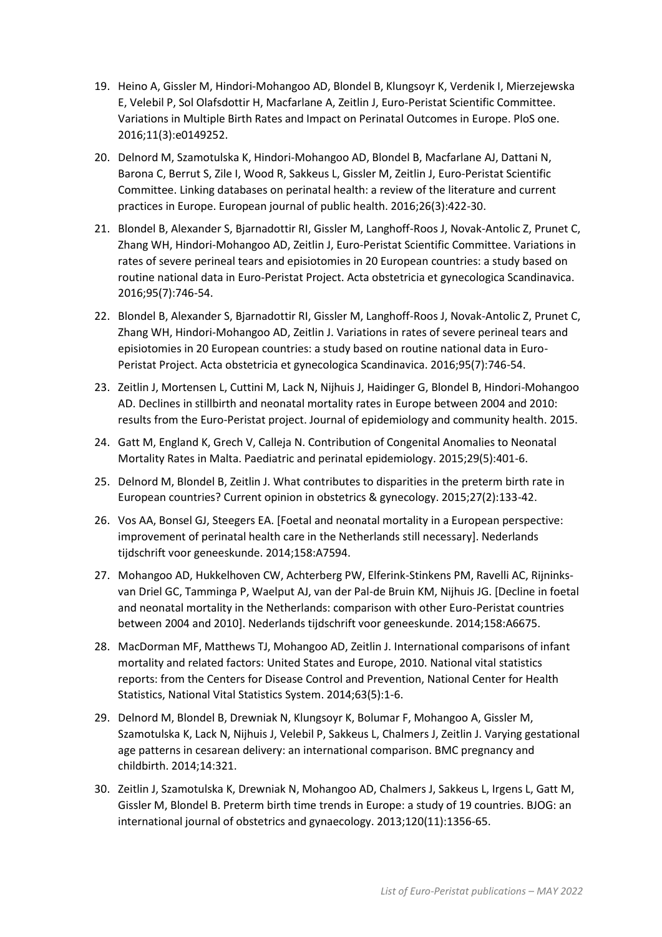- 19. Heino A, Gissler M, Hindori-Mohangoo AD, Blondel B, Klungsoyr K, Verdenik I, Mierzejewska E, Velebil P, Sol Olafsdottir H, Macfarlane A, Zeitlin J, Euro-Peristat Scientific Committee. Variations in Multiple Birth Rates and Impact on Perinatal Outcomes in Europe. PloS one. 2016;11(3):e0149252.
- 20. Delnord M, Szamotulska K, Hindori-Mohangoo AD, Blondel B, Macfarlane AJ, Dattani N, Barona C, Berrut S, Zile I, Wood R, Sakkeus L, Gissler M, Zeitlin J, Euro-Peristat Scientific Committee. Linking databases on perinatal health: a review of the literature and current practices in Europe. European journal of public health. 2016;26(3):422-30.
- 21. Blondel B, Alexander S, Bjarnadottir RI, Gissler M, Langhoff-Roos J, Novak-Antolic Z, Prunet C, Zhang WH, Hindori-Mohangoo AD, Zeitlin J, Euro-Peristat Scientific Committee. Variations in rates of severe perineal tears and episiotomies in 20 European countries: a study based on routine national data in Euro-Peristat Project. Acta obstetricia et gynecologica Scandinavica. 2016;95(7):746-54.
- 22. Blondel B, Alexander S, Bjarnadottir RI, Gissler M, Langhoff-Roos J, Novak-Antolic Z, Prunet C, Zhang WH, Hindori-Mohangoo AD, Zeitlin J. Variations in rates of severe perineal tears and episiotomies in 20 European countries: a study based on routine national data in Euro-Peristat Project. Acta obstetricia et gynecologica Scandinavica. 2016;95(7):746-54.
- 23. Zeitlin J, Mortensen L, Cuttini M, Lack N, Nijhuis J, Haidinger G, Blondel B, Hindori-Mohangoo AD. Declines in stillbirth and neonatal mortality rates in Europe between 2004 and 2010: results from the Euro-Peristat project. Journal of epidemiology and community health. 2015.
- 24. Gatt M, England K, Grech V, Calleja N. Contribution of Congenital Anomalies to Neonatal Mortality Rates in Malta. Paediatric and perinatal epidemiology. 2015;29(5):401-6.
- 25. Delnord M, Blondel B, Zeitlin J. What contributes to disparities in the preterm birth rate in European countries? Current opinion in obstetrics & gynecology. 2015;27(2):133-42.
- 26. Vos AA, Bonsel GJ, Steegers EA. [Foetal and neonatal mortality in a European perspective: improvement of perinatal health care in the Netherlands still necessary]. Nederlands tijdschrift voor geneeskunde. 2014;158:A7594.
- 27. Mohangoo AD, Hukkelhoven CW, Achterberg PW, Elferink-Stinkens PM, Ravelli AC, Rijninksvan Driel GC, Tamminga P, Waelput AJ, van der Pal-de Bruin KM, Nijhuis JG. [Decline in foetal and neonatal mortality in the Netherlands: comparison with other Euro-Peristat countries between 2004 and 2010]. Nederlands tijdschrift voor geneeskunde. 2014;158:A6675.
- 28. MacDorman MF, Matthews TJ, Mohangoo AD, Zeitlin J. International comparisons of infant mortality and related factors: United States and Europe, 2010. National vital statistics reports: from the Centers for Disease Control and Prevention, National Center for Health Statistics, National Vital Statistics System. 2014;63(5):1-6.
- 29. Delnord M, Blondel B, Drewniak N, Klungsoyr K, Bolumar F, Mohangoo A, Gissler M, Szamotulska K, Lack N, Nijhuis J, Velebil P, Sakkeus L, Chalmers J, Zeitlin J. Varying gestational age patterns in cesarean delivery: an international comparison. BMC pregnancy and childbirth. 2014;14:321.
- 30. Zeitlin J, Szamotulska K, Drewniak N, Mohangoo AD, Chalmers J, Sakkeus L, Irgens L, Gatt M, Gissler M, Blondel B. Preterm birth time trends in Europe: a study of 19 countries. BJOG: an international journal of obstetrics and gynaecology. 2013;120(11):1356-65.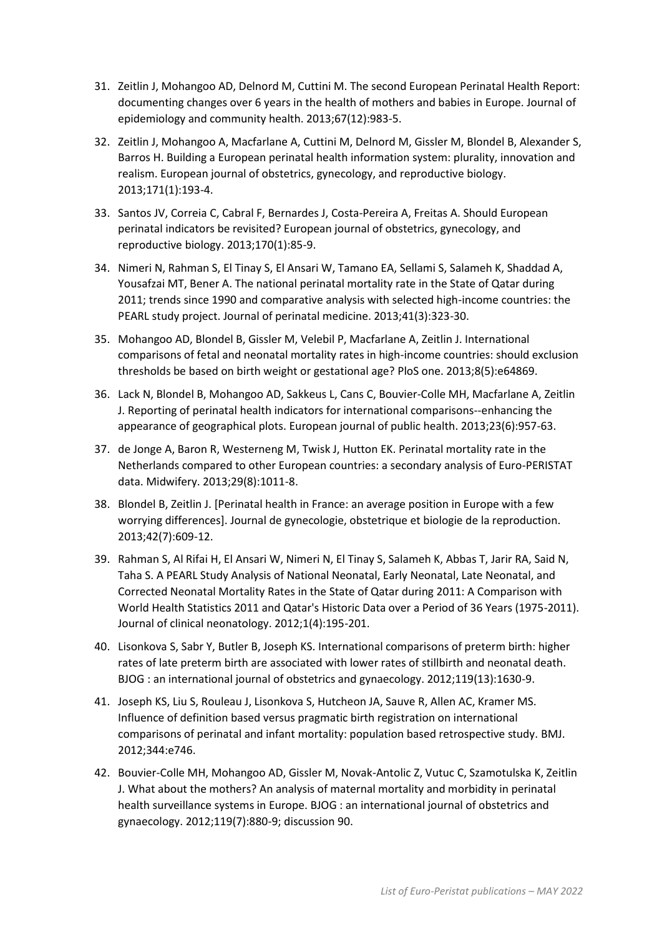- 31. Zeitlin J, Mohangoo AD, Delnord M, Cuttini M. The second European Perinatal Health Report: documenting changes over 6 years in the health of mothers and babies in Europe. Journal of epidemiology and community health. 2013;67(12):983-5.
- 32. Zeitlin J, Mohangoo A, Macfarlane A, Cuttini M, Delnord M, Gissler M, Blondel B, Alexander S, Barros H. Building a European perinatal health information system: plurality, innovation and realism. European journal of obstetrics, gynecology, and reproductive biology. 2013;171(1):193-4.
- 33. Santos JV, Correia C, Cabral F, Bernardes J, Costa-Pereira A, Freitas A. Should European perinatal indicators be revisited? European journal of obstetrics, gynecology, and reproductive biology. 2013;170(1):85-9.
- 34. Nimeri N, Rahman S, El Tinay S, El Ansari W, Tamano EA, Sellami S, Salameh K, Shaddad A, Yousafzai MT, Bener A. The national perinatal mortality rate in the State of Qatar during 2011; trends since 1990 and comparative analysis with selected high-income countries: the PEARL study project. Journal of perinatal medicine. 2013;41(3):323-30.
- 35. Mohangoo AD, Blondel B, Gissler M, Velebil P, Macfarlane A, Zeitlin J. International comparisons of fetal and neonatal mortality rates in high-income countries: should exclusion thresholds be based on birth weight or gestational age? PloS one. 2013;8(5):e64869.
- 36. Lack N, Blondel B, Mohangoo AD, Sakkeus L, Cans C, Bouvier-Colle MH, Macfarlane A, Zeitlin J. Reporting of perinatal health indicators for international comparisons--enhancing the appearance of geographical plots. European journal of public health. 2013;23(6):957-63.
- 37. de Jonge A, Baron R, Westerneng M, Twisk J, Hutton EK. Perinatal mortality rate in the Netherlands compared to other European countries: a secondary analysis of Euro-PERISTAT data. Midwifery. 2013;29(8):1011-8.
- 38. Blondel B, Zeitlin J. [Perinatal health in France: an average position in Europe with a few worrying differences]. Journal de gynecologie, obstetrique et biologie de la reproduction. 2013;42(7):609-12.
- 39. Rahman S, Al Rifai H, El Ansari W, Nimeri N, El Tinay S, Salameh K, Abbas T, Jarir RA, Said N, Taha S. A PEARL Study Analysis of National Neonatal, Early Neonatal, Late Neonatal, and Corrected Neonatal Mortality Rates in the State of Qatar during 2011: A Comparison with World Health Statistics 2011 and Qatar's Historic Data over a Period of 36 Years (1975-2011). Journal of clinical neonatology. 2012;1(4):195-201.
- 40. Lisonkova S, Sabr Y, Butler B, Joseph KS. International comparisons of preterm birth: higher rates of late preterm birth are associated with lower rates of stillbirth and neonatal death. BJOG : an international journal of obstetrics and gynaecology. 2012;119(13):1630-9.
- 41. Joseph KS, Liu S, Rouleau J, Lisonkova S, Hutcheon JA, Sauve R, Allen AC, Kramer MS. Influence of definition based versus pragmatic birth registration on international comparisons of perinatal and infant mortality: population based retrospective study. BMJ. 2012;344:e746.
- 42. Bouvier-Colle MH, Mohangoo AD, Gissler M, Novak-Antolic Z, Vutuc C, Szamotulska K, Zeitlin J. What about the mothers? An analysis of maternal mortality and morbidity in perinatal health surveillance systems in Europe. BJOG : an international journal of obstetrics and gynaecology. 2012;119(7):880-9; discussion 90.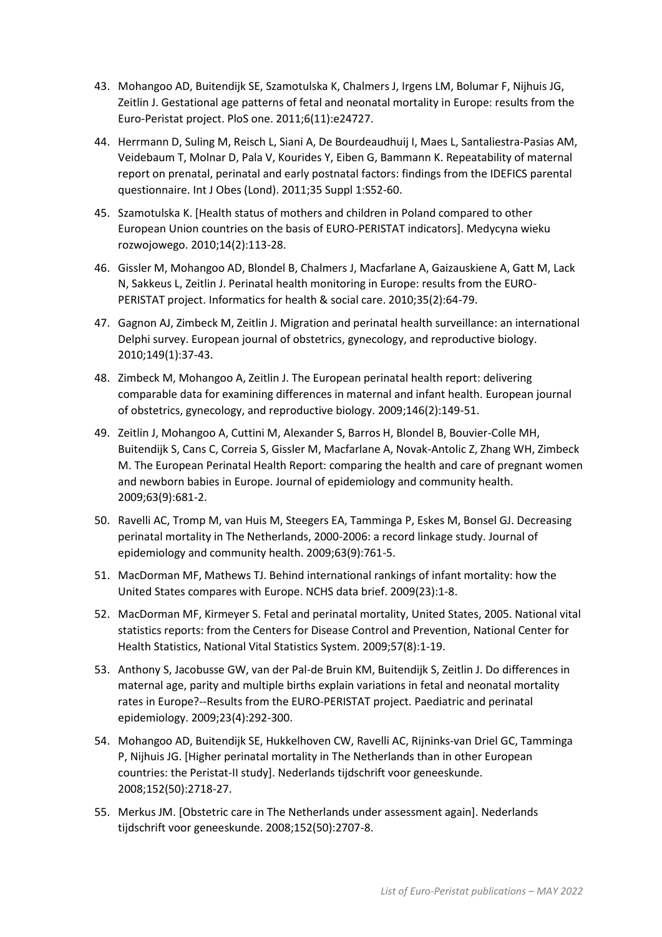- 43. Mohangoo AD, Buitendijk SE, Szamotulska K, Chalmers J, Irgens LM, Bolumar F, Nijhuis JG, Zeitlin J. Gestational age patterns of fetal and neonatal mortality in Europe: results from the Euro-Peristat project. PloS one. 2011;6(11):e24727.
- 44. Herrmann D, Suling M, Reisch L, Siani A, De Bourdeaudhuij I, Maes L, Santaliestra-Pasias AM, Veidebaum T, Molnar D, Pala V, Kourides Y, Eiben G, Bammann K. Repeatability of maternal report on prenatal, perinatal and early postnatal factors: findings from the IDEFICS parental questionnaire. Int J Obes (Lond). 2011;35 Suppl 1:S52-60.
- 45. Szamotulska K. [Health status of mothers and children in Poland compared to other European Union countries on the basis of EURO-PERISTAT indicators]. Medycyna wieku rozwojowego. 2010;14(2):113-28.
- 46. Gissler M, Mohangoo AD, Blondel B, Chalmers J, Macfarlane A, Gaizauskiene A, Gatt M, Lack N, Sakkeus L, Zeitlin J. Perinatal health monitoring in Europe: results from the EURO-PERISTAT project. Informatics for health & social care. 2010;35(2):64-79.
- 47. Gagnon AJ, Zimbeck M, Zeitlin J. Migration and perinatal health surveillance: an international Delphi survey. European journal of obstetrics, gynecology, and reproductive biology. 2010;149(1):37-43.
- 48. Zimbeck M, Mohangoo A, Zeitlin J. The European perinatal health report: delivering comparable data for examining differences in maternal and infant health. European journal of obstetrics, gynecology, and reproductive biology. 2009;146(2):149-51.
- 49. Zeitlin J, Mohangoo A, Cuttini M, Alexander S, Barros H, Blondel B, Bouvier-Colle MH, Buitendijk S, Cans C, Correia S, Gissler M, Macfarlane A, Novak-Antolic Z, Zhang WH, Zimbeck M. The European Perinatal Health Report: comparing the health and care of pregnant women and newborn babies in Europe. Journal of epidemiology and community health. 2009;63(9):681-2.
- 50. Ravelli AC, Tromp M, van Huis M, Steegers EA, Tamminga P, Eskes M, Bonsel GJ. Decreasing perinatal mortality in The Netherlands, 2000-2006: a record linkage study. Journal of epidemiology and community health. 2009;63(9):761-5.
- 51. MacDorman MF, Mathews TJ. Behind international rankings of infant mortality: how the United States compares with Europe. NCHS data brief. 2009(23):1-8.
- 52. MacDorman MF, Kirmeyer S. Fetal and perinatal mortality, United States, 2005. National vital statistics reports: from the Centers for Disease Control and Prevention, National Center for Health Statistics, National Vital Statistics System. 2009;57(8):1-19.
- 53. Anthony S, Jacobusse GW, van der Pal-de Bruin KM, Buitendijk S, Zeitlin J. Do differences in maternal age, parity and multiple births explain variations in fetal and neonatal mortality rates in Europe?--Results from the EURO-PERISTAT project. Paediatric and perinatal epidemiology. 2009;23(4):292-300.
- 54. Mohangoo AD, Buitendijk SE, Hukkelhoven CW, Ravelli AC, Rijninks-van Driel GC, Tamminga P, Nijhuis JG. [Higher perinatal mortality in The Netherlands than in other European countries: the Peristat-II study]. Nederlands tijdschrift voor geneeskunde. 2008;152(50):2718-27.
- 55. Merkus JM. [Obstetric care in The Netherlands under assessment again]. Nederlands tijdschrift voor geneeskunde. 2008;152(50):2707-8.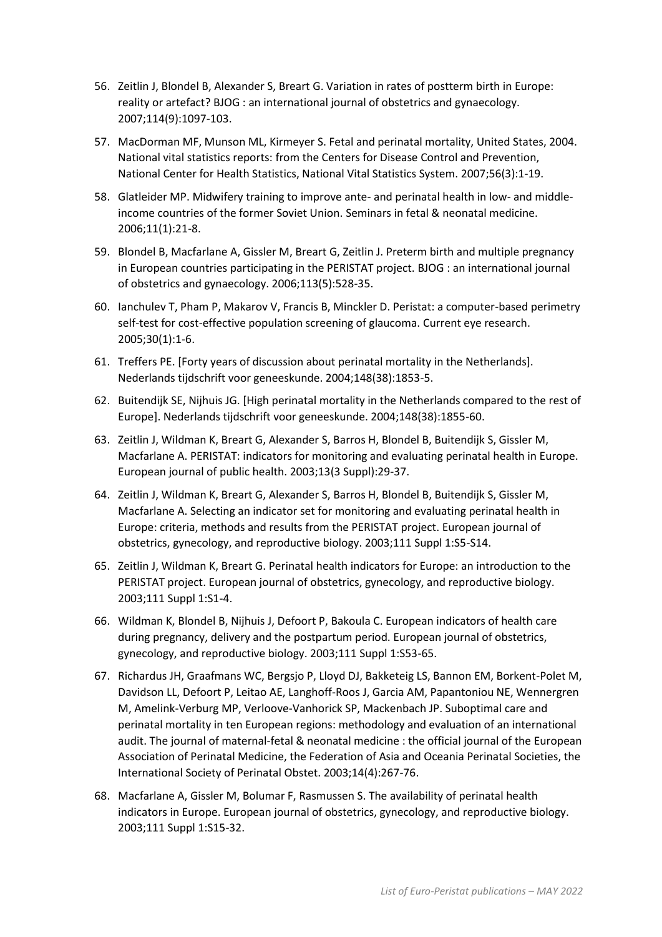- 56. Zeitlin J, Blondel B, Alexander S, Breart G. Variation in rates of postterm birth in Europe: reality or artefact? BJOG : an international journal of obstetrics and gynaecology. 2007;114(9):1097-103.
- 57. MacDorman MF, Munson ML, Kirmeyer S. Fetal and perinatal mortality, United States, 2004. National vital statistics reports: from the Centers for Disease Control and Prevention, National Center for Health Statistics, National Vital Statistics System. 2007;56(3):1-19.
- 58. Glatleider MP. Midwifery training to improve ante- and perinatal health in low- and middleincome countries of the former Soviet Union. Seminars in fetal & neonatal medicine. 2006;11(1):21-8.
- 59. Blondel B, Macfarlane A, Gissler M, Breart G, Zeitlin J. Preterm birth and multiple pregnancy in European countries participating in the PERISTAT project. BJOG : an international journal of obstetrics and gynaecology. 2006;113(5):528-35.
- 60. Ianchulev T, Pham P, Makarov V, Francis B, Minckler D. Peristat: a computer-based perimetry self-test for cost-effective population screening of glaucoma. Current eye research. 2005;30(1):1-6.
- 61. Treffers PE. [Forty years of discussion about perinatal mortality in the Netherlands]. Nederlands tijdschrift voor geneeskunde. 2004;148(38):1853-5.
- 62. Buitendijk SE, Nijhuis JG. [High perinatal mortality in the Netherlands compared to the rest of Europe]. Nederlands tijdschrift voor geneeskunde. 2004;148(38):1855-60.
- 63. Zeitlin J, Wildman K, Breart G, Alexander S, Barros H, Blondel B, Buitendijk S, Gissler M, Macfarlane A. PERISTAT: indicators for monitoring and evaluating perinatal health in Europe. European journal of public health. 2003;13(3 Suppl):29-37.
- 64. Zeitlin J, Wildman K, Breart G, Alexander S, Barros H, Blondel B, Buitendijk S, Gissler M, Macfarlane A. Selecting an indicator set for monitoring and evaluating perinatal health in Europe: criteria, methods and results from the PERISTAT project. European journal of obstetrics, gynecology, and reproductive biology. 2003;111 Suppl 1:S5-S14.
- 65. Zeitlin J, Wildman K, Breart G. Perinatal health indicators for Europe: an introduction to the PERISTAT project. European journal of obstetrics, gynecology, and reproductive biology. 2003;111 Suppl 1:S1-4.
- 66. Wildman K, Blondel B, Nijhuis J, Defoort P, Bakoula C. European indicators of health care during pregnancy, delivery and the postpartum period. European journal of obstetrics, gynecology, and reproductive biology. 2003;111 Suppl 1:S53-65.
- 67. Richardus JH, Graafmans WC, Bergsjo P, Lloyd DJ, Bakketeig LS, Bannon EM, Borkent-Polet M, Davidson LL, Defoort P, Leitao AE, Langhoff-Roos J, Garcia AM, Papantoniou NE, Wennergren M, Amelink-Verburg MP, Verloove-Vanhorick SP, Mackenbach JP. Suboptimal care and perinatal mortality in ten European regions: methodology and evaluation of an international audit. The journal of maternal-fetal & neonatal medicine : the official journal of the European Association of Perinatal Medicine, the Federation of Asia and Oceania Perinatal Societies, the International Society of Perinatal Obstet. 2003;14(4):267-76.
- 68. Macfarlane A, Gissler M, Bolumar F, Rasmussen S. The availability of perinatal health indicators in Europe. European journal of obstetrics, gynecology, and reproductive biology. 2003;111 Suppl 1:S15-32.